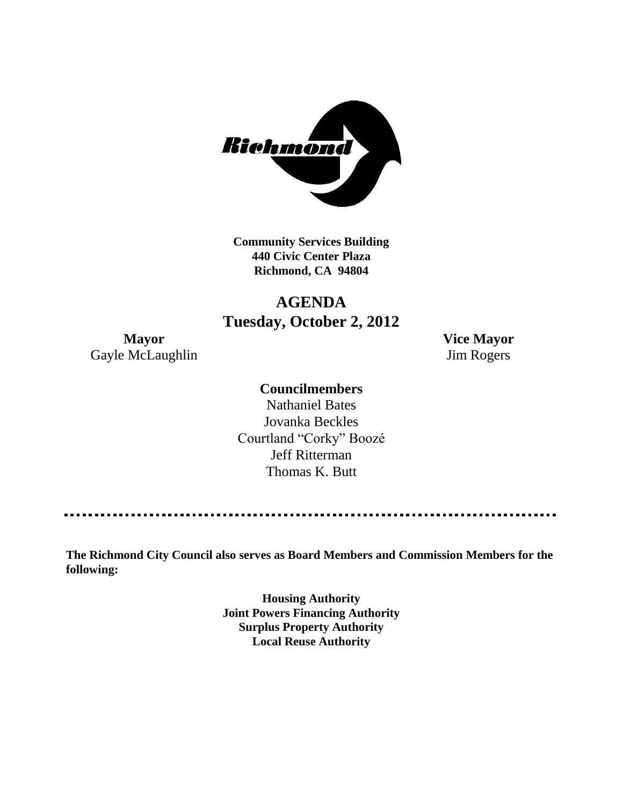

**Community Services Building 440 Civic Center Plaza Richmond, CA 94804**

## **AGENDA Tuesday, October 2, 2012**

Gayle McLaughlin Jim Rogers

**Mayor Vice Mayor**

### **Councilmembers**

Nathaniel Bates Jovanka Beckles Courtland "Corky" Boozé Jeff Ritterman Thomas K. Butt

**The Richmond City Council also serves as Board Members and Commission Members for the following:**

> **Housing Authority Joint Powers Financing Authority Surplus Property Authority Local Reuse Authority**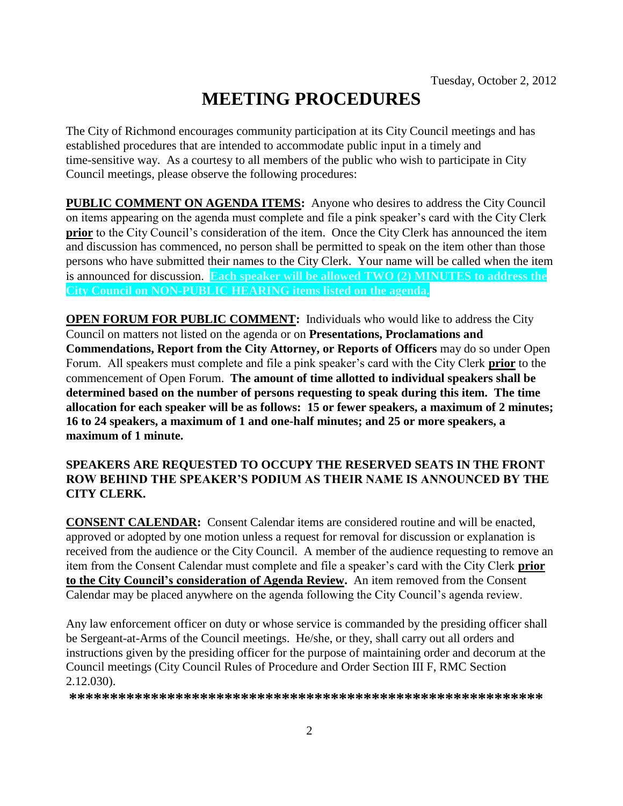# **MEETING PROCEDURES**

The City of Richmond encourages community participation at its City Council meetings and has established procedures that are intended to accommodate public input in a timely and time-sensitive way. As a courtesy to all members of the public who wish to participate in City Council meetings, please observe the following procedures:

**PUBLIC COMMENT ON AGENDA ITEMS:** Anyone who desires to address the City Council on items appearing on the agenda must complete and file a pink speaker's card with the City Clerk **prior** to the City Council's consideration of the item. Once the City Clerk has announced the item and discussion has commenced, no person shall be permitted to speak on the item other than those persons who have submitted their names to the City Clerk. Your name will be called when the item is announced for discussion. **Each speaker will be allowed TWO (2) MINUTES to address the City Council on NON-PUBLIC HEARING items listed on the agenda.**

**OPEN FORUM FOR PUBLIC COMMENT:** Individuals who would like to address the City Council on matters not listed on the agenda or on **Presentations, Proclamations and Commendations, Report from the City Attorney, or Reports of Officers** may do so under Open Forum. All speakers must complete and file a pink speaker's card with the City Clerk **prior** to the commencement of Open Forum. **The amount of time allotted to individual speakers shall be determined based on the number of persons requesting to speak during this item. The time allocation for each speaker will be as follows: 15 or fewer speakers, a maximum of 2 minutes; 16 to 24 speakers, a maximum of 1 and one-half minutes; and 25 or more speakers, a maximum of 1 minute.**

#### **SPEAKERS ARE REQUESTED TO OCCUPY THE RESERVED SEATS IN THE FRONT ROW BEHIND THE SPEAKER'S PODIUM AS THEIR NAME IS ANNOUNCED BY THE CITY CLERK.**

**CONSENT CALENDAR:** Consent Calendar items are considered routine and will be enacted, approved or adopted by one motion unless a request for removal for discussion or explanation is received from the audience or the City Council. A member of the audience requesting to remove an item from the Consent Calendar must complete and file a speaker's card with the City Clerk **prior to the City Council's consideration of Agenda Review.** An item removed from the Consent Calendar may be placed anywhere on the agenda following the City Council's agenda review.

Any law enforcement officer on duty or whose service is commanded by the presiding officer shall be Sergeant-at-Arms of the Council meetings. He/she, or they, shall carry out all orders and instructions given by the presiding officer for the purpose of maintaining order and decorum at the Council meetings (City Council Rules of Procedure and Order Section III F, RMC Section 2.12.030).

**\*\*\*\*\*\*\*\*\*\*\*\*\*\*\*\*\*\*\*\*\*\*\*\*\*\*\*\*\*\*\*\*\*\*\*\*\*\*\*\*\*\*\*\*\*\*\*\*\*\*\*\*\*\*\*\*\*\***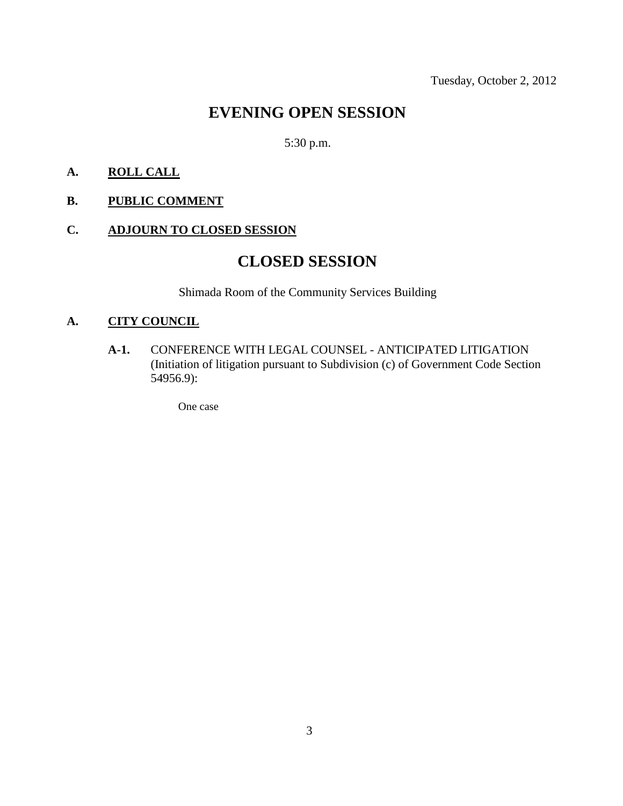## **EVENING OPEN SESSION**

### 5:30 p.m.

#### **A. ROLL CALL**

**B. PUBLIC COMMENT**

#### **C. ADJOURN TO CLOSED SESSION**

## **CLOSED SESSION**

Shimada Room of the Community Services Building

#### **A. CITY COUNCIL**

**A-1.** CONFERENCE WITH LEGAL COUNSEL - ANTICIPATED LITIGATION (Initiation of litigation pursuant to Subdivision (c) of Government Code Section 54956.9):

One case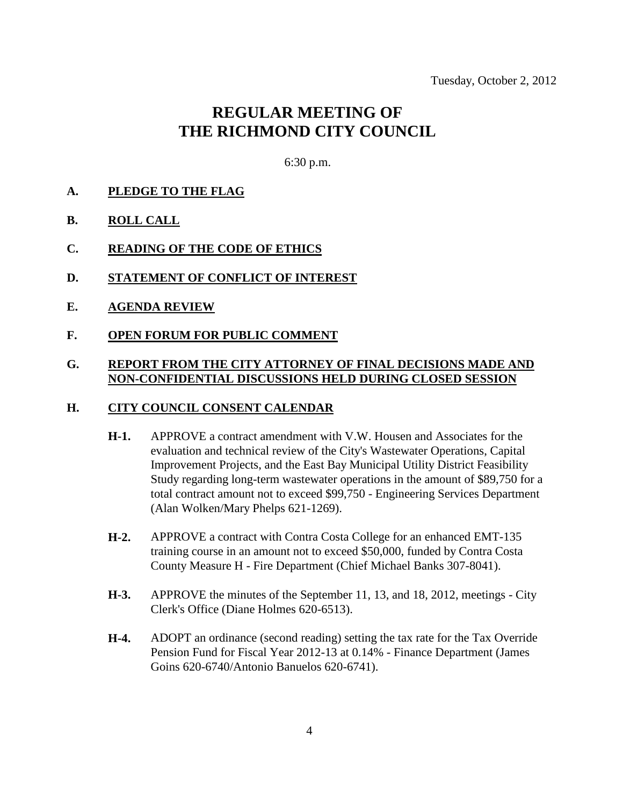## **REGULAR MEETING OF THE RICHMOND CITY COUNCIL**

6:30 p.m.

#### **A. PLEDGE TO THE FLAG**

- **B. ROLL CALL**
- **C. READING OF THE CODE OF ETHICS**
- **D. STATEMENT OF CONFLICT OF INTEREST**
- **E. AGENDA REVIEW**
- **F. OPEN FORUM FOR PUBLIC COMMENT**

#### **G. REPORT FROM THE CITY ATTORNEY OF FINAL DECISIONS MADE AND NON-CONFIDENTIAL DISCUSSIONS HELD DURING CLOSED SESSION**

#### **H. CITY COUNCIL CONSENT CALENDAR**

- **H-1.** APPROVE a contract amendment with V.W. Housen and Associates for the evaluation and technical review of the City's Wastewater Operations, Capital Improvement Projects, and the East Bay Municipal Utility District Feasibility Study regarding long-term wastewater operations in the amount of \$89,750 for a total contract amount not to exceed \$99,750 - Engineering Services Department (Alan Wolken/Mary Phelps 621-1269).
- **H-2.** APPROVE a contract with Contra Costa College for an enhanced EMT-135 training course in an amount not to exceed \$50,000, funded by Contra Costa County Measure H - Fire Department (Chief Michael Banks 307-8041).
- **H-3.** APPROVE the minutes of the September 11, 13, and 18, 2012, meetings City Clerk's Office (Diane Holmes 620-6513).
- **H-4.** ADOPT an ordinance (second reading) setting the tax rate for the Tax Override Pension Fund for Fiscal Year 2012-13 at 0.14% - Finance Department (James Goins 620-6740/Antonio Banuelos 620-6741).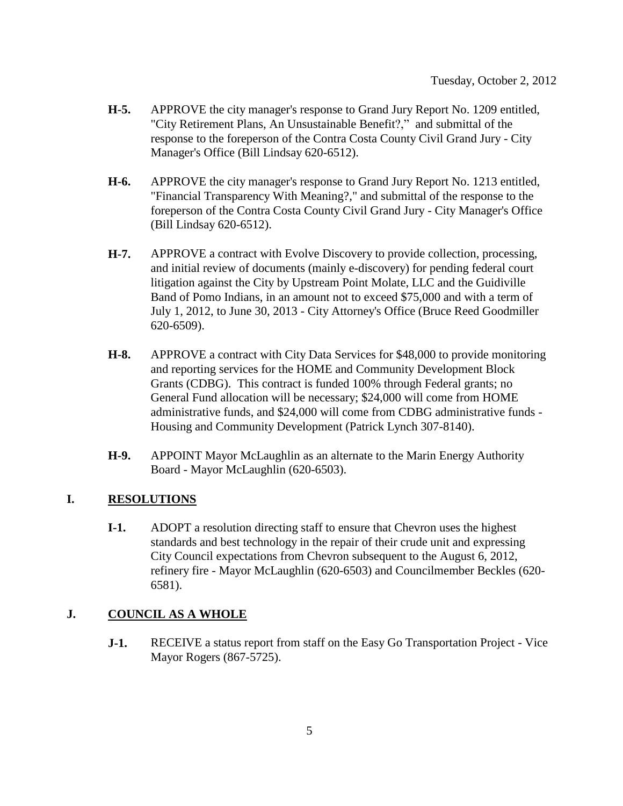- **H-5.** APPROVE the city manager's response to Grand Jury Report No. 1209 entitled, "City Retirement Plans, An Unsustainable Benefit?," and submittal of the response to the foreperson of the Contra Costa County Civil Grand Jury - City Manager's Office (Bill Lindsay 620-6512).
- **H-6.** APPROVE the city manager's response to Grand Jury Report No. 1213 entitled, "Financial Transparency With Meaning?," and submittal of the response to the foreperson of the Contra Costa County Civil Grand Jury - City Manager's Office (Bill Lindsay 620-6512).
- **H-7.** APPROVE a contract with Evolve Discovery to provide collection, processing, and initial review of documents (mainly e-discovery) for pending federal court litigation against the City by Upstream Point Molate, LLC and the Guidiville Band of Pomo Indians, in an amount not to exceed \$75,000 and with a term of July 1, 2012, to June 30, 2013 - City Attorney's Office (Bruce Reed Goodmiller 620-6509).
- **H-8.** APPROVE a contract with City Data Services for \$48,000 to provide monitoring and reporting services for the HOME and Community Development Block Grants (CDBG). This contract is funded 100% through Federal grants; no General Fund allocation will be necessary; \$24,000 will come from HOME administrative funds, and \$24,000 will come from CDBG administrative funds - Housing and Community Development (Patrick Lynch 307-8140).
- **H-9.** APPOINT Mayor McLaughlin as an alternate to the Marin Energy Authority Board - Mayor McLaughlin (620-6503).

#### **I. RESOLUTIONS**

**I-1.** ADOPT a resolution directing staff to ensure that Chevron uses the highest standards and best technology in the repair of their crude unit and expressing City Council expectations from Chevron subsequent to the August 6, 2012, refinery fire - Mayor McLaughlin (620-6503) and Councilmember Beckles (620- 6581).

#### **J. COUNCIL AS A WHOLE**

**J-1.** RECEIVE a status report from staff on the Easy Go Transportation Project - Vice Mayor Rogers (867-5725).